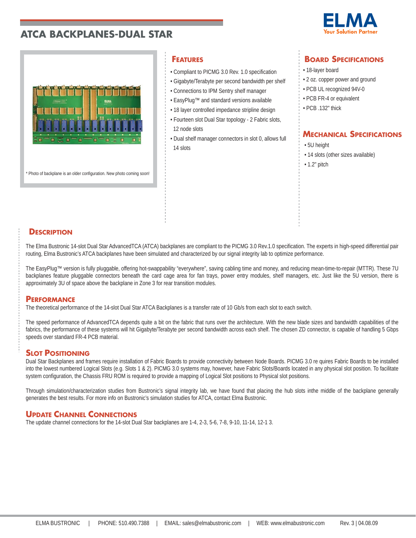



\* Photo of backplane is an older configuration. New photo coming soon!

- Compliant to PICMG 3.0 Rev. 1.0 specification
- Gigabyte/Terabyte per second bandwidth per shelf
- Connections to IPM Sentry shelf manager
- EasyPlug™ and standard versions available
- 18 layer controlled impedance stripline design
- Fourteen slot Dual Star topology 2 Fabric slots, 12 node slots
- Dual shelf manager connectors in slot 0, allows full 14 slots

# **FEATURES BOARD SPECIFICATIONS**

- 18-layer board
- 2 oz. copper power and ground
- PCB UL recognized 94V-0
- PCB FR-4 or equivalent
- PCB .132" thick

# **MECHANICAL SPECIFICATIONS**

- 5U height
- 14 slots (other sizes available)
- 1.2" pitch

### **DESCRIPTION**

The Elma Bustronic 14-slot Dual Star AdvancedTCA (ATCA) backplanes are compliant to the PICMG 3.0 Rev.1.0 specification. The experts in high-speed differential pair routing, Elma Bustronic's ATCA backplanes have been simulated and characterized by our signal integrity lab to optimize performance.

The EasyPlug™ version is fully pluggable, offering hot-swappability "everywhere", saving cabling time and money, and reducing mean-time-to-repair (MTTR). These 7U backplanes feature pluggable connectors beneath the card cage area for fan trays, power entry modules, shelf managers, etc. Just like the 5U version, there is approximately 3U of space above the backplane in Zone 3 for rear transition modules.

### **PERFORMANCE**

The theoretical performance of the 14-slot Dual Star ATCA Backplanes is a transfer rate of 10 Gb/s from each slot to each switch.

The speed performance of AdvancedTCA depends quite a bit on the fabric that runs over the architecture. With the new blade sizes and bandwidth capabilities of the fabrics, the performance of these systems will hit Gigabyte/Terabyte per second bandwidth across each shelf. The chosen ZD connector, is capable of handling 5 Gbps speeds over standard FR-4 PCB material.

## **SLOT POSITIONING**

Dual Star Backplanes and frames require installation of Fabric Boards to provide connectivity between Node Boards. PICMG 3.0 re quires Fabric Boards to be installed into the lowest numbered Logical Slots (e.g. Slots 1 & 2). PICMG 3.0 systems may, however, have Fabric Slots/Boards located in any physical slot position. To facilitate system configuration, the Chassis FRU ROM is required to provide a mapping of Logical Slot positions to Physical slot positions.

Through simulation/characterization studies from Bustronic's signal integrity lab, we have found that placing the hub slots inthe middle of the backplane generally generates the best results. For more info on Bustronic's simulation studies for ATCA, contact Elma Bustronic.

### **UPDATE CHANNEL CONNECTIONS**

The update channel connections for the 14-slot Dual Star backplanes are 1-4, 2-3, 5-6, 7-8, 9-10, 11-14, 12-1 3.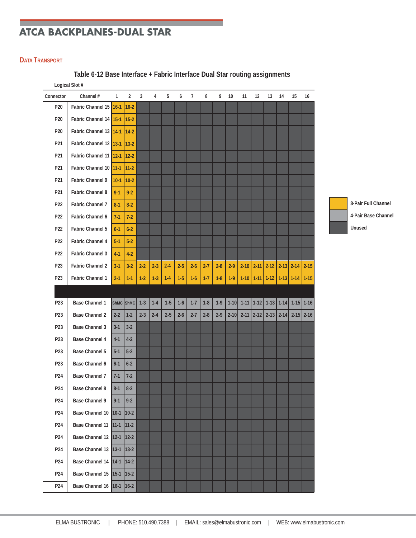### **DATA TRANSPORT**

**Table 6-12 Base Interface + Fabric Interface Dual Star routing assignments**

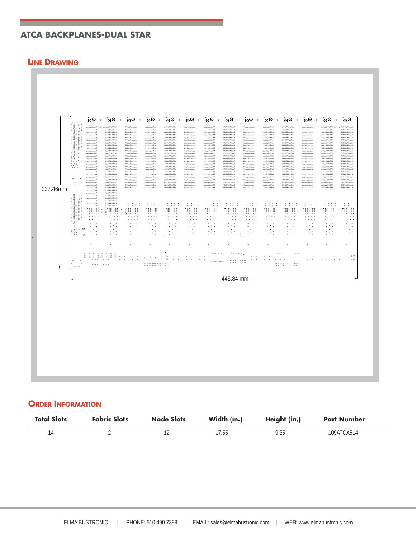### **LINE DRAWING**



### **ORDER INFORMATION**

| <b>Total Slots</b> | <b>Fabric Slots</b> | <b>Node Slots</b> | Width (in.) | Height (in.) | <b>Part Number</b> |
|--------------------|---------------------|-------------------|-------------|--------------|--------------------|
|                    |                     |                   | 17.55       | 9.35         | 109ATCA514         |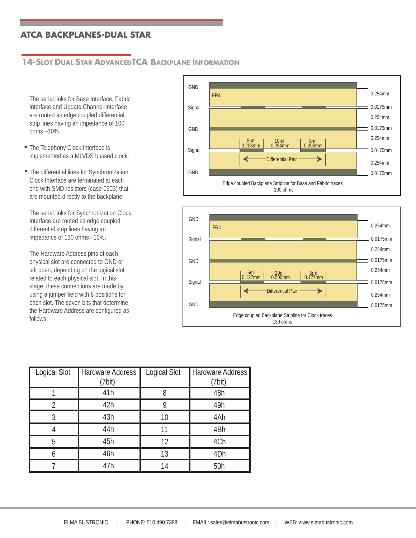# **14-SLOT DUAL STAR ADVANCEDTCA BACKPLANE INFORMATION**

The serial links for Base Interface, Fabric Interface and Update Channel Interface are routed as edge coupled differential strip lines having an impedance of 100 ohms –10%.

- The Telephony Clock Interface is implemented as a MLVDS bussed clock.
- The differential lines for Synchronization Clock Interface are terminated at each end with SMD resistors (case 0603) that are mounted directly to the backplane.

. impedance of 130 ohms –10%. The serial links for Synchronization Clock Interface are routed as edge coupled differential strip lines having an

The Hardware Address pins of each physical slot are connected to GND or left open, depending on the logical slot related to each physical slot. In this stage, these connections are made by using a jumper field with 8 positions for each slot. The seven bits that determine the Hardware Address are configured as follows:





| Logical Slot | Hardware Address<br>(7bit) | Logical Slot | Hardware Address<br>(7bit) |
|--------------|----------------------------|--------------|----------------------------|
|              | 41h                        | 8            | 48h                        |
| 2            | 42h                        | Q            | 49h                        |
| 3            | 43h                        | 10           | 4Ah                        |
|              | 44h                        |              | 4Bh                        |
| 5            | 45h                        | 12           | 4Ch                        |
| h            | 46h                        | 13           | 4 <sub>Dh</sub>            |
|              | 47h                        | 14           | 50h                        |